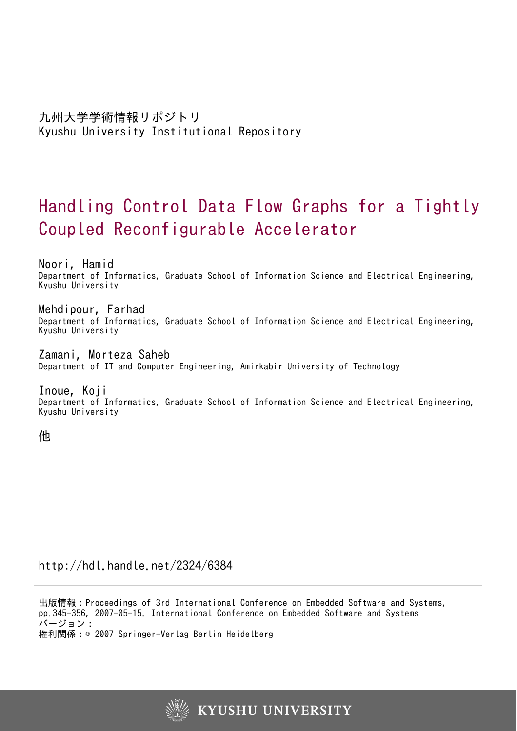# Handling Control Data Flow Graphs for a Tightly Coupled Reconfigurable Accelerator

Noori, Hamid Department of Informatics, Graduate School of Information Science and Electrical Engineering, Kyushu University

Mehdipour, Farhad Department of Informatics, Graduate School of Information Science and Electrical Engineering, Kyushu University

Zamani, Morteza Saheb Department of IT and Computer Engineering, Amirkabir University of Technology

Inoue, Koji Department of Informatics, Graduate School of Information Science and Electrical Engineering, Kyushu University

他

http://hdl.handle.net/2324/6384

出版情報:Proceedings of 3rd International Conference on Embedded Software and Systems, pp.345-356, 2007-05-15. International Conference on Embedded Software and Systems バージョン: 権利関係:© 2007 Springer-Verlag Berlin Heidelberg

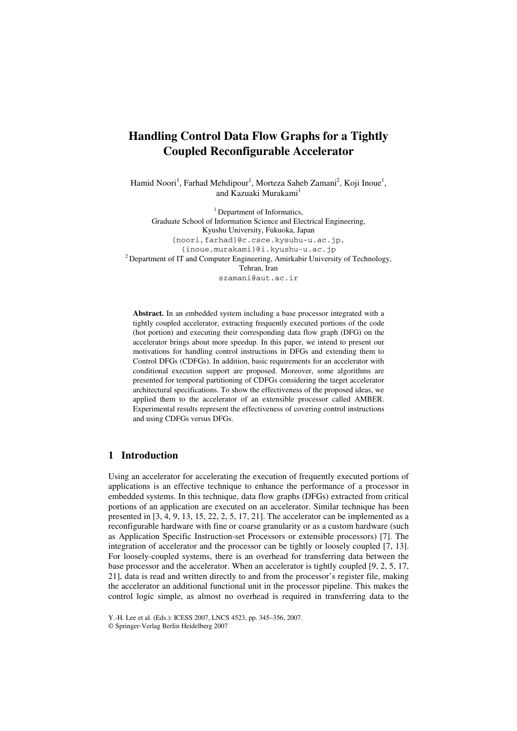# **Handling Control Data Flow Graphs for a Tightly Coupled Reconfigurable Accelerator**

Hamid Noori<sup>1</sup>, Farhad Mehdipour<sup>1</sup>, Morteza Saheb Zamani<sup>2</sup>, Koji Inoue<sup>1</sup>, and Kazuaki Murakami<sup>1</sup>

<sup>1</sup> Department of Informatics, Graduate School of Information Science and Electrical Engineering, Kyushu University, Fukuoka, Japan {noori,farhad}@c.csce.kysuhu-u.ac.jp, {inoue,murakami}@i.kyushu-u.ac.jp  $2$  Department of IT and Computer Engineering, Amirkabir University of Technology, Tehran, Iran szamani@aut.ac.ir

**Abstract.** In an embedded system including a base processor integrated with a tightly coupled accelerator, extracting frequently executed portions of the code (hot portion) and executing their corresponding data flow graph (DFG) on the accelerator brings about more speedup. In this paper, we intend to present our motivations for handling control instructions in DFGs and extending them to Control DFGs (CDFGs). In addition, basic requirements for an accelerator with conditional execution support are proposed. Moreover, some algorithms are presented for temporal partitioning of CDFGs considering the target accelerator architectural specifications. To show the effectiveness of the proposed ideas, we applied them to the accelerator of an extensible processor called AMBER. Experimental results represent the effectiveness of covering control instructions and using CDFGs versus DFGs.

# **1 Introduction**

Using an accelerator for accelerating the execution of frequently executed portions of applications is an effective technique to enhance the performance of a processor in embedded systems. In this technique, data flow graphs (DFGs) extracted from critical portions of an application are executed on an accelerator. Similar technique has been presented in [3, 4, 9, 13, 15, 22, 2, 5, 17, 21]. The accelerator can be implemented as a reconfigurable hardware with fine or coarse granularity or as a custom hardware (such as Application Specific Instruction-set Processors or extensible processors) [7]. The integration of accelerator and the processor can be tightly or loosely coupled [7, 13]. For loosely-coupled systems, there is an overhead for transferring data between the base processor and the accelerator. When an accelerator is tightly coupled [9, 2, 5, 17, 21], data is read and written directly to and from the processor's register file, making the accelerator an additional functional unit in the processor pipeline. This makes the control logic simple, as almost no overhead is required in transferring data to the

Y.-H. Lee et al. (Eds.): ICESS 2007, LNCS 4523, pp. 345–356, 2007.

<sup>©</sup> Springer-Verlag Berlin Heidelberg 2007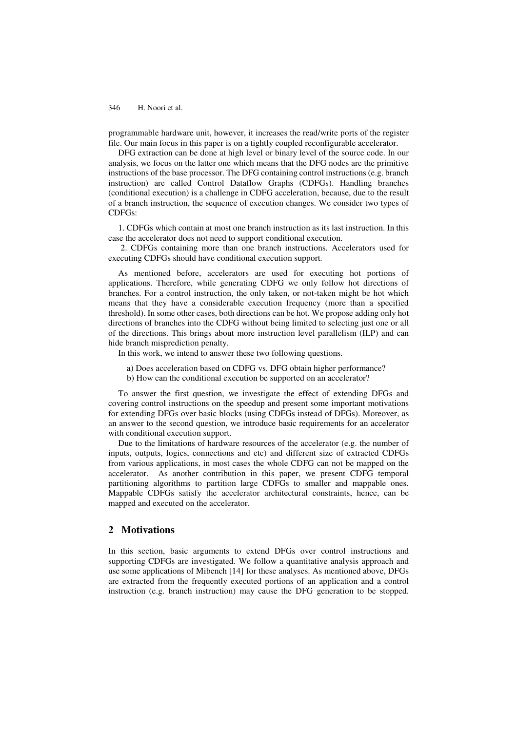programmable hardware unit, however, it increases the read/write ports of the register file. Our main focus in this paper is on a tightly coupled reconfigurable accelerator.

DFG extraction can be done at high level or binary level of the source code. In our analysis, we focus on the latter one which means that the DFG nodes are the primitive instructions of the base processor. The DFG containing control instructions (e.g. branch instruction) are called Control Dataflow Graphs (CDFGs). Handling branches (conditional execution) is a challenge in CDFG acceleration, because, due to the result of a branch instruction, the sequence of execution changes. We consider two types of CDFGs:

1. CDFGs which contain at most one branch instruction as its last instruction. In this case the accelerator does not need to support conditional execution.

2. CDFGs containing more than one branch instructions. Accelerators used for executing CDFGs should have conditional execution support.

As mentioned before, accelerators are used for executing hot portions of applications. Therefore, while generating CDFG we only follow hot directions of branches. For a control instruction, the only taken, or not-taken might be hot which means that they have a considerable execution frequency (more than a specified threshold). In some other cases, both directions can be hot. We propose adding only hot directions of branches into the CDFG without being limited to selecting just one or all of the directions. This brings about more instruction level parallelism (ILP) and can hide branch misprediction penalty.

In this work, we intend to answer these two following questions.

- a) Does acceleration based on CDFG vs. DFG obtain higher performance?
- b) How can the conditional execution be supported on an accelerator?

To answer the first question, we investigate the effect of extending DFGs and covering control instructions on the speedup and present some important motivations for extending DFGs over basic blocks (using CDFGs instead of DFGs). Moreover, as an answer to the second question, we introduce basic requirements for an accelerator with conditional execution support.

Due to the limitations of hardware resources of the accelerator (e.g. the number of inputs, outputs, logics, connections and etc) and different size of extracted CDFGs from various applications, in most cases the whole CDFG can not be mapped on the accelerator. As another contribution in this paper, we present CDFG temporal partitioning algorithms to partition large CDFGs to smaller and mappable ones. Mappable CDFGs satisfy the accelerator architectural constraints, hence, can be mapped and executed on the accelerator.

# **2 Motivations**

In this section, basic arguments to extend DFGs over control instructions and supporting CDFGs are investigated. We follow a quantitative analysis approach and use some applications of Mibench [14] for these analyses. As mentioned above, DFGs are extracted from the frequently executed portions of an application and a control instruction (e.g. branch instruction) may cause the DFG generation to be stopped.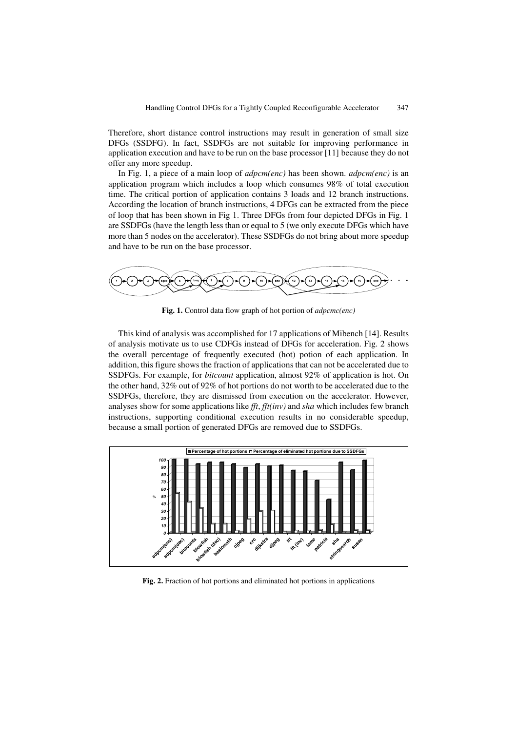Therefore, short distance control instructions may result in generation of small size DFGs (SSDFG). In fact, SSDFGs are not suitable for improving performance in application execution and have to be run on the base processor [11] because they do not offer any more speedup.

In Fig. 1, a piece of a main loop of *adpcm(enc)* has been shown. *adpcm(enc)* is an application program which includes a loop which consumes 98% of total execution time. The critical portion of application contains 3 loads and 12 branch instructions. According the location of branch instructions, 4 DFGs can be extracted from the piece of loop that has been shown in Fig 1. Three DFGs from four depicted DFGs in Fig. 1 are SSDFGs (have the length less than or equal to 5 (we only execute DFGs which have more than 5 nodes on the accelerator). These SSDFGs do not bring about more speedup and have to be run on the base processor.



**Fig. 1.** Control data flow graph of hot portion of *adpcmc(enc)*

This kind of analysis was accomplished for 17 applications of Mibench [14]. Results of analysis motivate us to use CDFGs instead of DFGs for acceleration. Fig. 2 shows the overall percentage of frequently executed (hot) potion of each application. In addition, this figure shows the fraction of applications that can not be accelerated due to SSDFGs. For example, for *bitcount* application, almost 92% of application is hot. On the other hand, 32% out of 92% of hot portions do not worth to be accelerated due to the SSDFGs, therefore, they are dismissed from execution on the accelerator. However, analyses show for some applications like *fft*, *fft(inv)* and *sha* which includes few branch instructions, supporting conditional execution results in no considerable speedup, because a small portion of generated DFGs are removed due to SSDFGs.



**Fig. 2.** Fraction of hot portions and eliminated hot portions in applications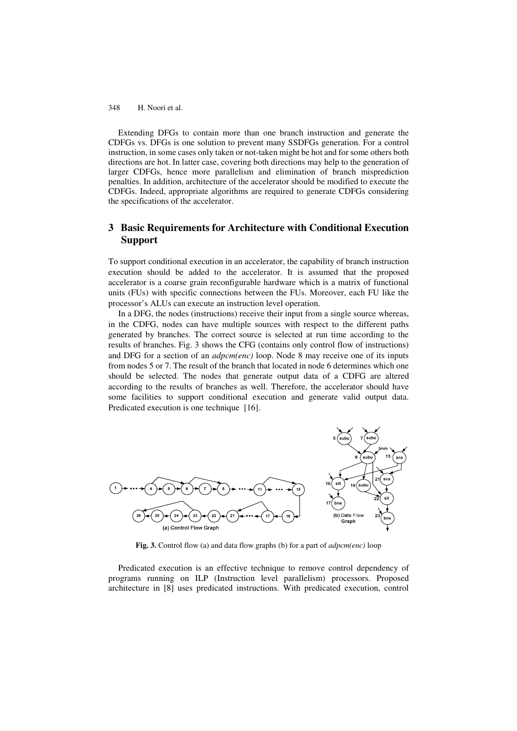Extending DFGs to contain more than one branch instruction and generate the CDFGs vs. DFGs is one solution to prevent many SSDFGs generation. For a control instruction, in some cases only taken or not-taken might be hot and for some others both directions are hot. In latter case, covering both directions may help to the generation of larger CDFGs, hence more parallelism and elimination of branch misprediction penalties. In addition, architecture of the accelerator should be modified to execute the CDFGs. Indeed, appropriate algorithms are required to generate CDFGs considering the specifications of the accelerator.

# **3 Basic Requirements for Architecture with Conditional Execution Support**

To support conditional execution in an accelerator, the capability of branch instruction execution should be added to the accelerator. It is assumed that the proposed accelerator is a coarse grain reconfigurable hardware which is a matrix of functional units (FUs) with specific connections between the FUs. Moreover, each FU like the processor's ALUs can execute an instruction level operation.

In a DFG, the nodes (instructions) receive their input from a single source whereas, in the CDFG, nodes can have multiple sources with respect to the different paths generated by branches. The correct source is selected at run time according to the results of branches. Fig. 3 shows the CFG (contains only control flow of instructions) and DFG for a section of an *adpcm(enc)* loop. Node 8 may receive one of its inputs from nodes 5 or 7. The result of the branch that located in node 6 determines which one should be selected. The nodes that generate output data of a CDFG are altered according to the results of branches as well. Therefore, the accelerator should have some facilities to support conditional execution and generate valid output data. Predicated execution is one technique [16].



**Fig. 3.** Control flow (a) and data flow graphs (b) for a part of *adpcm(enc)* loop

Predicated execution is an effective technique to remove control dependency of programs running on ILP (Instruction level parallelism) processors. Proposed architecture in [8] uses predicated instructions. With predicated execution, control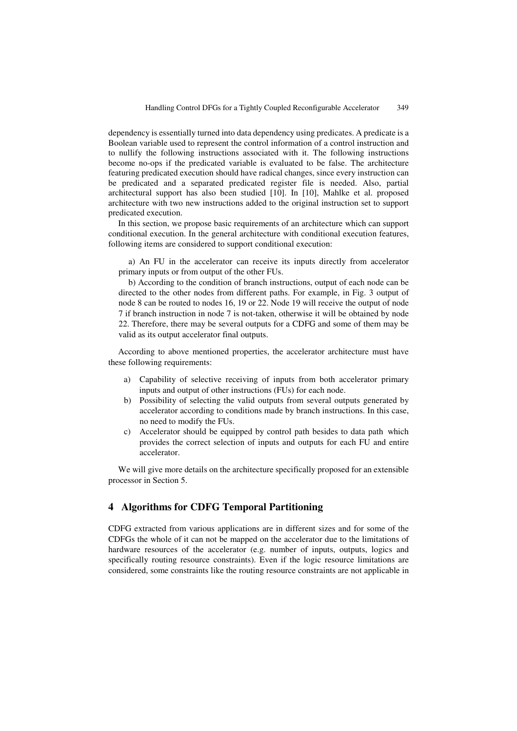dependency is essentially turned into data dependency using predicates. A predicate is a Boolean variable used to represent the control information of a control instruction and to nullify the following instructions associated with it. The following instructions become no-ops if the predicated variable is evaluated to be false. The architecture featuring predicated execution should have radical changes, since every instruction can be predicated and a separated predicated register file is needed. Also, partial architectural support has also been studied [10]. In [10], Mahlke et al. proposed architecture with two new instructions added to the original instruction set to support predicated execution.

In this section, we propose basic requirements of an architecture which can support conditional execution. In the general architecture with conditional execution features, following items are considered to support conditional execution:

a) An FU in the accelerator can receive its inputs directly from accelerator primary inputs or from output of the other FUs.

b) According to the condition of branch instructions, output of each node can be directed to the other nodes from different paths. For example, in Fig. 3 output of node 8 can be routed to nodes 16, 19 or 22. Node 19 will receive the output of node 7 if branch instruction in node 7 is not-taken, otherwise it will be obtained by node 22. Therefore, there may be several outputs for a CDFG and some of them may be valid as its output accelerator final outputs.

According to above mentioned properties, the accelerator architecture must have these following requirements:

- a) Capability of selective receiving of inputs from both accelerator primary inputs and output of other instructions (FUs) for each node.
- b) Possibility of selecting the valid outputs from several outputs generated by accelerator according to conditions made by branch instructions. In this case, no need to modify the FUs.
- c) Accelerator should be equipped by control path besides to data path which provides the correct selection of inputs and outputs for each FU and entire accelerator.

We will give more details on the architecture specifically proposed for an extensible processor in Section 5.

# **4 Algorithms for CDFG Temporal Partitioning**

CDFG extracted from various applications are in different sizes and for some of the CDFGs the whole of it can not be mapped on the accelerator due to the limitations of hardware resources of the accelerator (e.g. number of inputs, outputs, logics and specifically routing resource constraints). Even if the logic resource limitations are considered, some constraints like the routing resource constraints are not applicable in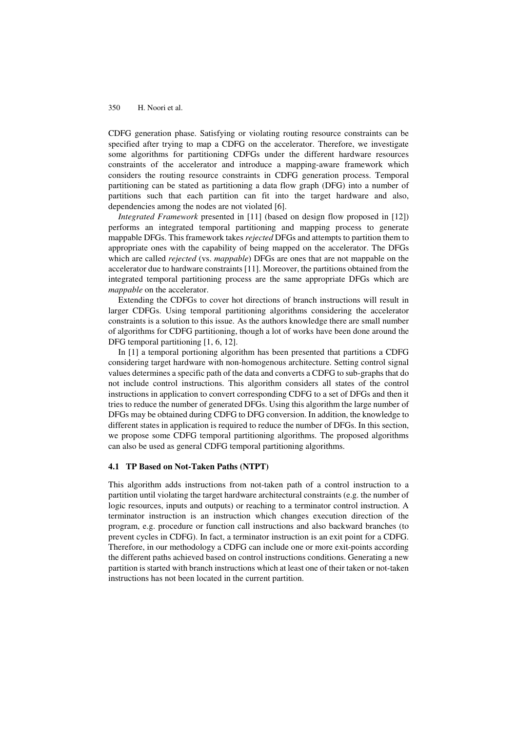CDFG generation phase. Satisfying or violating routing resource constraints can be specified after trying to map a CDFG on the accelerator. Therefore, we investigate some algorithms for partitioning CDFGs under the different hardware resources constraints of the accelerator and introduce a mapping-aware framework which considers the routing resource constraints in CDFG generation process. Temporal partitioning can be stated as partitioning a data flow graph (DFG) into a number of partitions such that each partition can fit into the target hardware and also, dependencies among the nodes are not violated [6].

*Integrated Framework* presented in [11] (based on design flow proposed in [12]) performs an integrated temporal partitioning and mapping process to generate mappable DFGs. This framework takes *rejected* DFGs and attempts to partition them to appropriate ones with the capability of being mapped on the accelerator. The DFGs which are called *rejected* (vs. *mappable*) DFGs are ones that are not mappable on the accelerator due to hardware constraints [11]. Moreover, the partitions obtained from the integrated temporal partitioning process are the same appropriate DFGs which are *mappable* on the accelerator.

Extending the CDFGs to cover hot directions of branch instructions will result in larger CDFGs. Using temporal partitioning algorithms considering the accelerator constraints is a solution to this issue. As the authors knowledge there are small number of algorithms for CDFG partitioning, though a lot of works have been done around the DFG temporal partitioning [1, 6, 12].

In [1] a temporal portioning algorithm has been presented that partitions a CDFG considering target hardware with non-homogenous architecture. Setting control signal values determines a specific path of the data and converts a CDFG to sub-graphs that do not include control instructions. This algorithm considers all states of the control instructions in application to convert corresponding CDFG to a set of DFGs and then it tries to reduce the number of generated DFGs. Using this algorithm the large number of DFGs may be obtained during CDFG to DFG conversion. In addition, the knowledge to different states in application is required to reduce the number of DFGs. In this section, we propose some CDFG temporal partitioning algorithms. The proposed algorithms can also be used as general CDFG temporal partitioning algorithms.

#### **4.1 TP Based on Not-Taken Paths (NTPT)**

This algorithm adds instructions from not-taken path of a control instruction to a partition until violating the target hardware architectural constraints (e.g. the number of logic resources, inputs and outputs) or reaching to a terminator control instruction. A terminator instruction is an instruction which changes execution direction of the program, e.g. procedure or function call instructions and also backward branches (to prevent cycles in CDFG). In fact, a terminator instruction is an exit point for a CDFG. Therefore, in our methodology a CDFG can include one or more exit-points according the different paths achieved based on control instructions conditions. Generating a new partition is started with branch instructions which at least one of their taken or not-taken instructions has not been located in the current partition.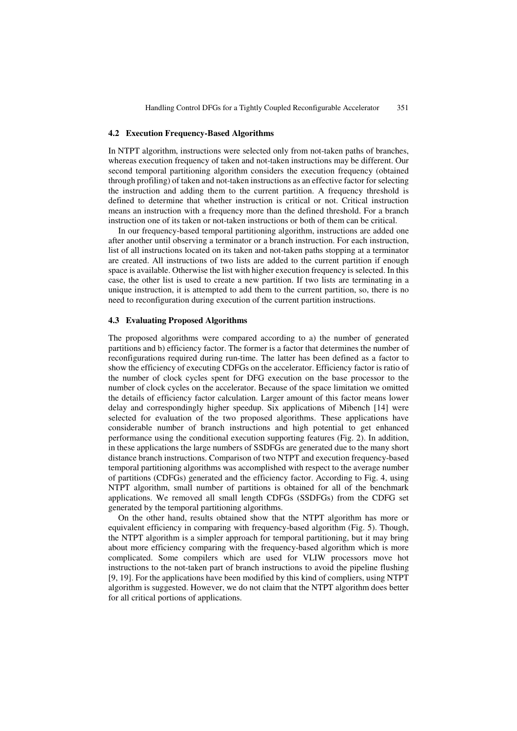## **4.2 Execution Frequency-Based Algorithms**

In NTPT algorithm, instructions were selected only from not-taken paths of branches, whereas execution frequency of taken and not-taken instructions may be different. Our second temporal partitioning algorithm considers the execution frequency (obtained through profiling) of taken and not-taken instructions as an effective factor for selecting the instruction and adding them to the current partition. A frequency threshold is defined to determine that whether instruction is critical or not. Critical instruction means an instruction with a frequency more than the defined threshold. For a branch instruction one of its taken or not-taken instructions or both of them can be critical.

In our frequency-based temporal partitioning algorithm, instructions are added one after another until observing a terminator or a branch instruction. For each instruction, list of all instructions located on its taken and not-taken paths stopping at a terminator are created. All instructions of two lists are added to the current partition if enough space is available. Otherwise the list with higher execution frequency is selected. In this case, the other list is used to create a new partition. If two lists are terminating in a unique instruction, it is attempted to add them to the current partition, so, there is no need to reconfiguration during execution of the current partition instructions.

## **4.3 Evaluating Proposed Algorithms**

The proposed algorithms were compared according to a) the number of generated partitions and b) efficiency factor. The former is a factor that determines the number of reconfigurations required during run-time. The latter has been defined as a factor to show the efficiency of executing CDFGs on the accelerator. Efficiency factor is ratio of the number of clock cycles spent for DFG execution on the base processor to the number of clock cycles on the accelerator. Because of the space limitation we omitted the details of efficiency factor calculation. Larger amount of this factor means lower delay and correspondingly higher speedup. Six applications of Mibench [14] were selected for evaluation of the two proposed algorithms. These applications have considerable number of branch instructions and high potential to get enhanced performance using the conditional execution supporting features (Fig. 2). In addition, in these applications the large numbers of SSDFGs are generated due to the many short distance branch instructions. Comparison of two NTPT and execution frequency-based temporal partitioning algorithms was accomplished with respect to the average number of partitions (CDFGs) generated and the efficiency factor. According to Fig. 4, using NTPT algorithm, small number of partitions is obtained for all of the benchmark applications. We removed all small length CDFGs (SSDFGs) from the CDFG set generated by the temporal partitioning algorithms.

On the other hand, results obtained show that the NTPT algorithm has more or equivalent efficiency in comparing with frequency-based algorithm (Fig. 5). Though, the NTPT algorithm is a simpler approach for temporal partitioning, but it may bring about more efficiency comparing with the frequency-based algorithm which is more complicated. Some compilers which are used for VLIW processors move hot instructions to the not-taken part of branch instructions to avoid the pipeline flushing [9, 19]. For the applications have been modified by this kind of compliers, using NTPT algorithm is suggested. However, we do not claim that the NTPT algorithm does better for all critical portions of applications.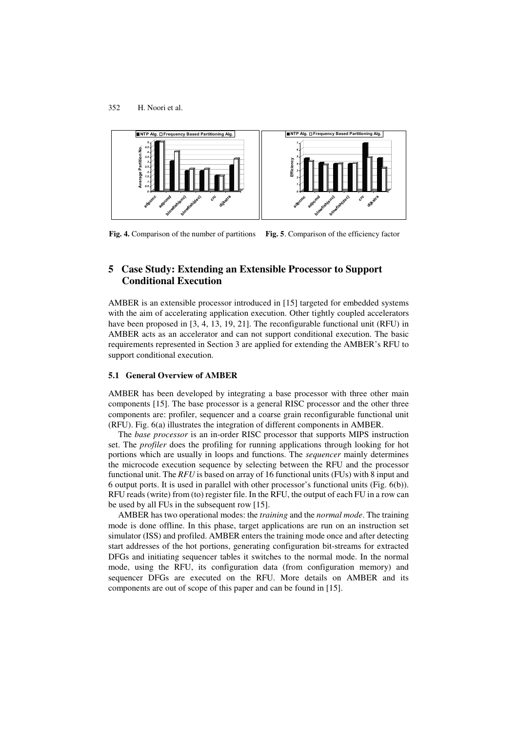

**Fig. 4.** Comparison of the number of partitions **Fig. 5**. Comparison of the efficiency factor

# **5 Case Study: Extending an Extensible Processor to Support Conditional Execution**

AMBER is an extensible processor introduced in [15] targeted for embedded systems with the aim of accelerating application execution. Other tightly coupled accelerators have been proposed in [3, 4, 13, 19, 21]. The reconfigurable functional unit (RFU) in AMBER acts as an accelerator and can not support conditional execution. The basic requirements represented in Section 3 are applied for extending the AMBER's RFU to support conditional execution.

# **5.1 General Overview of AMBER**

AMBER has been developed by integrating a base processor with three other main components [15]. The base processor is a general RISC processor and the other three components are: profiler, sequencer and a coarse grain reconfigurable functional unit (RFU). Fig. 6(a) illustrates the integration of different components in AMBER.

The *base processor* is an in-order RISC processor that supports MIPS instruction set. The *profiler* does the profiling for running applications through looking for hot portions which are usually in loops and functions. The *sequencer* mainly determines the microcode execution sequence by selecting between the RFU and the processor functional unit. The *RFU* is based on array of 16 functional units (FUs) with 8 input and 6 output ports. It is used in parallel with other processor's functional units (Fig. 6(b)). RFU reads (write) from (to) register file. In the RFU, the output of each FU in a row can be used by all FUs in the subsequent row [15].

AMBER has two operational modes: the *training* and the *normal mode*. The training mode is done offline. In this phase, target applications are run on an instruction set simulator (ISS) and profiled. AMBER enters the training mode once and after detecting start addresses of the hot portions, generating configuration bit-streams for extracted DFGs and initiating sequencer tables it switches to the normal mode. In the normal mode, using the RFU, its configuration data (from configuration memory) and sequencer DFGs are executed on the RFU. More details on AMBER and its components are out of scope of this paper and can be found in [15].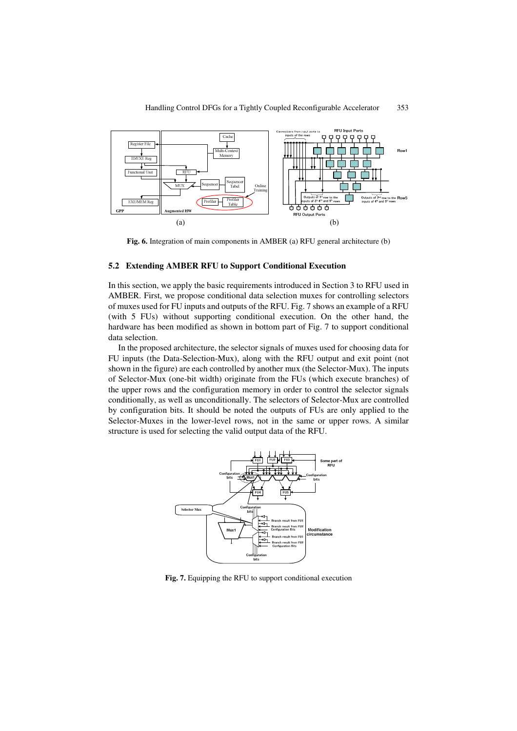

**Fig. 6.** Integration of main components in AMBER (a) RFU general architecture (b)

## **5.2 Extending AMBER RFU to Support Conditional Execution**

In this section, we apply the basic requirements introduced in Section 3 to RFU used in AMBER. First, we propose conditional data selection muxes for controlling selectors of muxes used for FU inputs and outputs of the RFU. Fig. 7 shows an example of a RFU (with 5 FUs) without supporting conditional execution. On the other hand, the hardware has been modified as shown in bottom part of Fig. 7 to support conditional data selection.

In the proposed architecture, the selector signals of muxes used for choosing data for FU inputs (the Data-Selection-Mux), along with the RFU output and exit point (not shown in the figure) are each controlled by another mux (the Selector-Mux). The inputs of Selector-Mux (one-bit width) originate from the FUs (which execute branches) of the upper rows and the configuration memory in order to control the selector signals conditionally, as well as unconditionally. The selectors of Selector-Mux are controlled by configuration bits. It should be noted the outputs of FUs are only applied to the Selector-Muxes in the lower-level rows, not in the same or upper rows. A similar structure is used for selecting the valid output data of the RFU.



**Fig. 7.** Equipping the RFU to support conditional execution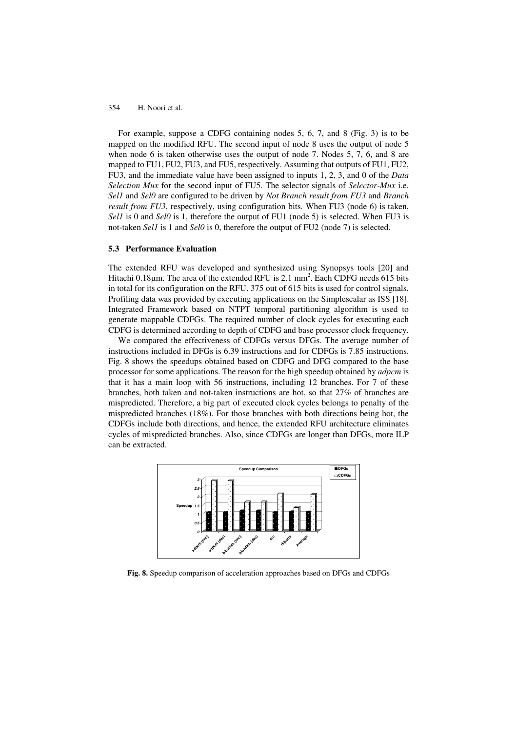For example, suppose a CDFG containing nodes 5, 6, 7, and 8 (Fig. 3) is to be mapped on the modified RFU. The second input of node 8 uses the output of node 5 when node 6 is taken otherwise uses the output of node 7. Nodes 5, 7, 6, and 8 are mapped to FU1, FU2, FU3, and FU5, respectively. Assuming that outputs of FU1, FU2, FU3, and the immediate value have been assigned to inputs 1, 2, 3, and 0 of the *Data Selection Mux* for the second input of FU5. The selector signals of *Selector-Mux* i.e. *Sel1* and *Sel0* are configured to be driven by *Not Branch result from FU3* and *Branch result from FU3*, respectively, using configuration bits*.* When FU3 (node 6) is taken, *Sel1* is 0 and *Sel0* is 1, therefore the output of FU1 (node 5) is selected. When FU3 is not-taken *Sel1* is 1 and *Sel0* is 0, therefore the output of FU2 (node 7) is selected.

### **5.3 Performance Evaluation**

The extended RFU was developed and synthesized using Synopsys tools [20] and Hitachi 0.18 $\mu$ m. The area of the extended RFU is 2.1 mm<sup>2</sup>. Each CDFG needs 615 bits in total for its configuration on the RFU. 375 out of 615 bits is used for control signals. Profiling data was provided by executing applications on the Simplescalar as ISS [18]. Integrated Framework based on NTPT temporal partitioning algorithm is used to generate mappable CDFGs. The required number of clock cycles for executing each CDFG is determined according to depth of CDFG and base processor clock frequency.

We compared the effectiveness of CDFGs versus DFGs. The average number of instructions included in DFGs is 6.39 instructions and for CDFGs is 7.85 instructions. Fig. 8 shows the speedups obtained based on CDFG and DFG compared to the base processor for some applications. The reason for the high speedup obtained by *adpcm* is that it has a main loop with 56 instructions, including 12 branches. For 7 of these branches, both taken and not-taken instructions are hot, so that 27% of branches are mispredicted. Therefore, a big part of executed clock cycles belongs to penalty of the mispredicted branches (18%). For those branches with both directions being hot, the CDFGs include both directions, and hence, the extended RFU architecture eliminates cycles of mispredicted branches. Also, since CDFGs are longer than DFGs, more ILP can be extracted.



**Fig. 8.** Speedup comparison of acceleration approaches based on DFGs and CDFGs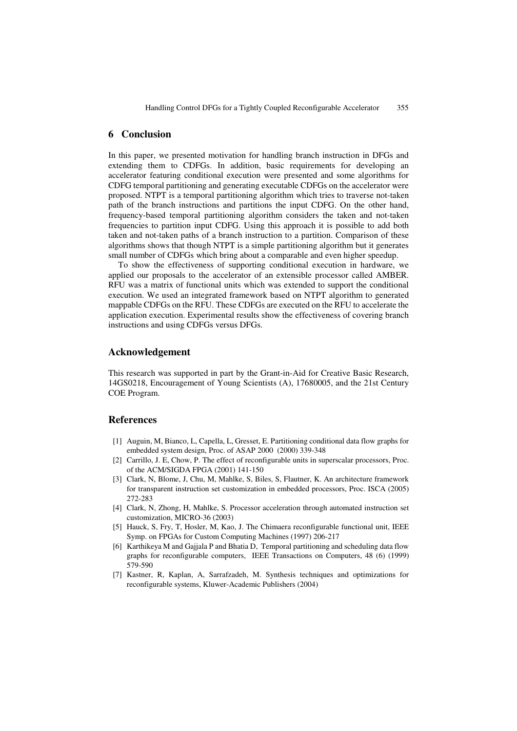# **6 Conclusion**

In this paper, we presented motivation for handling branch instruction in DFGs and extending them to CDFGs. In addition, basic requirements for developing an accelerator featuring conditional execution were presented and some algorithms for CDFG temporal partitioning and generating executable CDFGs on the accelerator were proposed. NTPT is a temporal partitioning algorithm which tries to traverse not-taken path of the branch instructions and partitions the input CDFG. On the other hand, frequency-based temporal partitioning algorithm considers the taken and not-taken frequencies to partition input CDFG. Using this approach it is possible to add both taken and not-taken paths of a branch instruction to a partition. Comparison of these algorithms shows that though NTPT is a simple partitioning algorithm but it generates small number of CDFGs which bring about a comparable and even higher speedup.

To show the effectiveness of supporting conditional execution in hardware, we applied our proposals to the accelerator of an extensible processor called AMBER. RFU was a matrix of functional units which was extended to support the conditional execution. We used an integrated framework based on NTPT algorithm to generated mappable CDFGs on the RFU. These CDFGs are executed on the RFU to accelerate the application execution. Experimental results show the effectiveness of covering branch instructions and using CDFGs versus DFGs.

# **Acknowledgement**

This research was supported in part by the Grant-in-Aid for Creative Basic Research, 14GS0218, Encouragement of Young Scientists (A), 17680005, and the 21st Century COE Program.

# **References**

- [1] Auguin, M, Bianco, L, Capella, L, Gresset, E. Partitioning conditional data flow graphs for embedded system design, Proc. of ASAP 2000 (2000) 339-348
- [2] Carrillo, J. E, Chow, P. The effect of reconfigurable units in superscalar processors, Proc. of the ACM/SIGDA FPGA (2001) 141-150
- [3] Clark, N, Blome, J, Chu, M, Mahlke, S, Biles, S, Flautner, K. An architecture framework for transparent instruction set customization in embedded processors, Proc. ISCA (2005) 272-283
- [4] Clark, N, Zhong, H, Mahlke, S. Processor acceleration through automated instruction set customization, MICRO-36 (2003)
- [5] Hauck, S, Fry, T, Hosler, M, Kao, J. The Chimaera reconfigurable functional unit, IEEE Symp. on FPGAs for Custom Computing Machines (1997) 206-217
- [6] Karthikeya M and Gajjala P and Bhatia D, Temporal partitioning and scheduling data flow graphs for reconfigurable computers, IEEE Transactions on Computers, 48 (6) (1999) 579-590
- [7] Kastner, R, Kaplan, A, Sarrafzadeh, M. Synthesis techniques and optimizations for reconfigurable systems, Kluwer-Academic Publishers (2004)